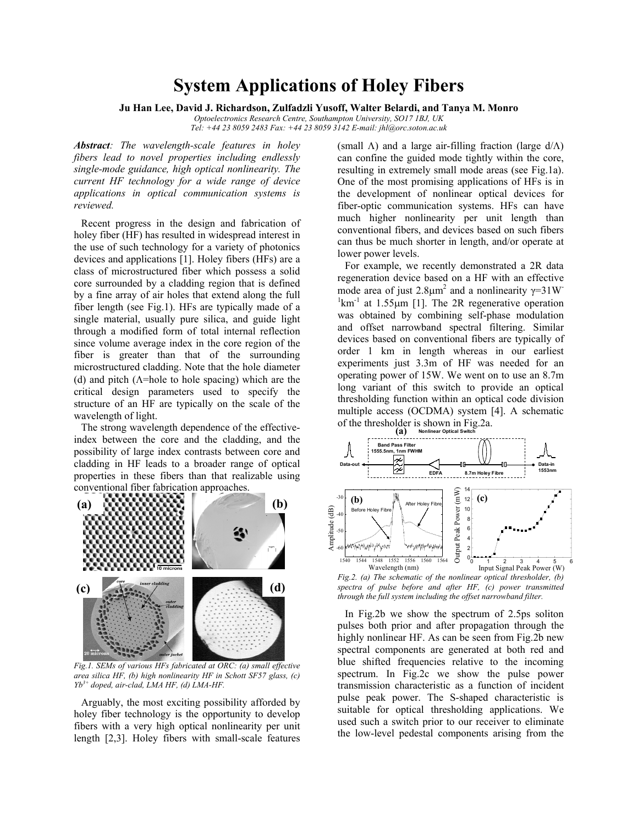## **System Applications of Holey Fibers**

**Ju Han Lee, David J. Richardson, Zulfadzli Yusoff, Walter Belardi, and Tanya M. Monro** 

*Optoelectronics Research Centre, Southampton University, SO17 1BJ, UK Tel: +44 23 8059 2483 Fax: +44 23 8059 3142 E-mail: jhl@orc.soton.ac.uk* 

*Abstract: The wavelength-scale features in holey fibers lead to novel properties including endlessly single-mode guidance, high optical nonlinearity. The current HF technology for a wide range of device applications in optical communication systems is reviewed.* 

Recent progress in the design and fabrication of holey fiber (HF) has resulted in widespread interest in the use of such technology for a variety of photonics devices and applications [1]. Holey fibers (HFs) are a class of microstructured fiber which possess a solid core surrounded by a cladding region that is defined by a fine array of air holes that extend along the full fiber length (see Fig.1). HFs are typically made of a single material, usually pure silica, and guide light through a modified form of total internal reflection since volume average index in the core region of the fiber is greater than that of the surrounding microstructured cladding. Note that the hole diameter (d) and pitch (Λ=hole to hole spacing) which are the critical design parameters used to specify the structure of an HF are typically on the scale of the wavelength of light.

The strong wavelength dependence of the effectiveindex between the core and the cladding, and the possibility of large index contrasts between core and cladding in HF leads to a broader range of optical properties in these fibers than that realizable using conventional fiber fabrication approaches.



*Fig.1. SEMs of various HFs fabricated at ORC: (a) small effective area silica HF, (b) high nonlinearity HF in Schott SF57 glass, (c) Yb3+ doped, air-clad, LMA HF, (d) LMA-HF.*

Arguably, the most exciting possibility afforded by holey fiber technology is the opportunity to develop fibers with a very high optical nonlinearity per unit length [2,3]. Holey fibers with small-scale features (small  $\Lambda$ ) and a large air-filling fraction (large  $d/\Lambda$ ) can confine the guided mode tightly within the core, resulting in extremely small mode areas (see Fig.1a). One of the most promising applications of HFs is in the development of nonlinear optical devices for fiber-optic communication systems. HFs can have much higher nonlinearity per unit length than conventional fibers, and devices based on such fibers can thus be much shorter in length, and/or operate at lower power levels.

For example, we recently demonstrated a 2R data regeneration device based on a HF with an effective mode area of just 2.8 $\mu$ m<sup>2</sup> and a nonlinearity  $\gamma = 31W$  $\mathrm{1 km^{-1}}$  at 1.55 µm [1]. The 2R regenerative operation was obtained by combining self-phase modulation and offset narrowband spectral filtering. Similar devices based on conventional fibers are typically of order 1 km in length whereas in our earliest experiments just 3.3m of HF was needed for an operating power of 15W. We went on to use an 8.7m long variant of this switch to provide an optical thresholding function within an optical code division multiple access (OCDMA) system [4]. A schematic of the thresholder is shown in Fig.2a.



*Fig.2. (a) The schematic of the nonlinear optical thresholder, (b) spectra of pulse before and after HF, (c) power transmitted through the full system including the offset narrowband filter.* 

In Fig.2b we show the spectrum of 2.5ps soliton pulses both prior and after propagation through the highly nonlinear HF. As can be seen from Fig.2b new spectral components are generated at both red and blue shifted frequencies relative to the incoming spectrum. In Fig.2c we show the pulse power transmission characteristic as a function of incident pulse peak power. The S-shaped characteristic is suitable for optical thresholding applications. We used such a switch prior to our receiver to eliminate the low-level pedestal components arising from the